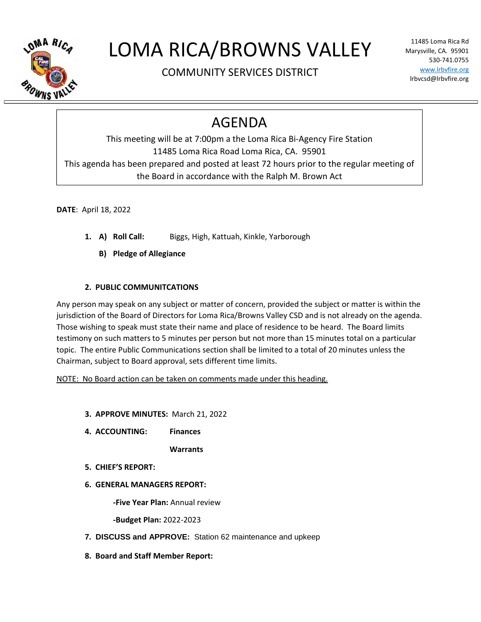

## LOMA RICA/BROWNS VALLEY

COMMUNITY SERVICES DISTRICT

11485 Loma Rica Rd Marysville, CA. 95901 530-741.0755 www.lrbvfire.org lrbvcsd@lrbvfire.org

## AGENDA

This meeting will be at 7:00pm a the Loma Rica Bi-Agency Fire Station 11485 Loma Rica Road Loma Rica, CA. 95901 This agenda has been prepared and posted at least 72 hours prior to the regular meeting of the Board in accordance with the Ralph M. Brown Act

**DATE**: April 18, 2022

- **1. A) Roll Call:** Biggs, High, Kattuah, Kinkle, Yarborough
	- **B) Pledge of Allegiance**

## **2. PUBLIC COMMUNITCATIONS**

Any person may speak on any subject or matter of concern, provided the subject or matter is within the jurisdiction of the Board of Directors for Loma Rica/Browns Valley CSD and is not already on the agenda. Those wishing to speak must state their name and place of residence to be heard. The Board limits testimony on such matters to 5 minutes per person but not more than 15 minutes total on a particular topic. The entire Public Communications section shall be limited to a total of 20 minutes unless the Chairman, subject to Board approval, sets different time limits.

NOTE: No Board action can be taken on comments made under this heading.

- **3. APPROVE MINUTES:** March 21, 2022
- **4. ACCOUNTING: Finances**

**Warrants**

- **5. CHIEF'S REPORT:**
- **6. GENERAL MANAGERS REPORT:**

**-Five Year Plan:** Annual review

**-Budget Plan:** 2022-2023

- **7. DISCUSS and APPROVE:** Station 62 maintenance and upkeep
- **8. Board and Staff Member Report:**